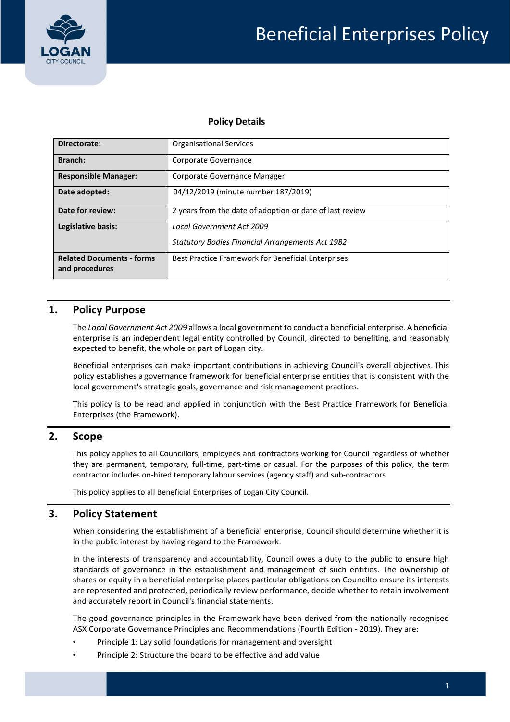

#### **Policy Details**

| Directorate:                                       | <b>Organisational Services</b>                                                              |  |  |
|----------------------------------------------------|---------------------------------------------------------------------------------------------|--|--|
| Branch:                                            | Corporate Governance                                                                        |  |  |
| <b>Responsible Manager:</b>                        | Corporate Governance Manager                                                                |  |  |
| Date adopted:                                      | 04/12/2019 (minute number 187/2019)                                                         |  |  |
| Date for review:                                   | 2 years from the date of adoption or date of last review                                    |  |  |
| Legislative basis:                                 | <b>Local Government Act 2009</b><br><b>Statutory Bodies Financial Arrangements Act 1982</b> |  |  |
| <b>Related Documents - forms</b><br>and procedures | Best Practice Framework for Beneficial Enterprises                                          |  |  |

# **1. Policy Purpose**

 The *Local Government Act 2009* allows a local government to conduct a beneficial enterprise.A beneficial enterprise is an independent legal entity controlled by Council, directed to benefiting, and reasonably expected to benefit, the whole or part of Logan city.

 Beneficial enterprises can make important contributions in achieving Council's overall objectives. This policy establishes a governance framework for beneficial enterprise entities that is consistent with the local government's strategic goals, governance and risk management practices.

 This policy is to be read and applied in conjunction with the Best Practice Framework for Beneficial Enterprises (the Framework).

#### **2. Scope**

 This policy applies to all Councillors, employees and contractors working for Council regardless of whether they are permanent, temporary, full‐time, part‐time or casual. For the purposes of this policy, the term contractor includes on‐hired temporary labour services (agency staff) and sub‐contractors.

This policy applies to all Beneficial Enterprises of Logan City Council.

## **3. Policy Statement**

 When considering the establishment of a beneficial enterprise, Council should determine whether it is in the public interest by having regard to the Framework.

 In the interests of transparency and accountability, Council owes a duty to the public to ensure high standards of governance in the establishment and management of such entities. The ownership of shares or equity in a beneficial enterprise places particular obligations on Councilto ensure its interests are represented and protected, periodically review performance, decide whether to retain involvement and accurately report in Council's financial statements.

 The good governance principles in the Framework have been derived from the nationally recognised ASX Corporate Governance Principles and Recommendations (Fourth Edition ‐ 2019). They are:

- Principle 1: Lay solid foundations for management and oversight
- Principle 2: Structure the board to be effective and add value